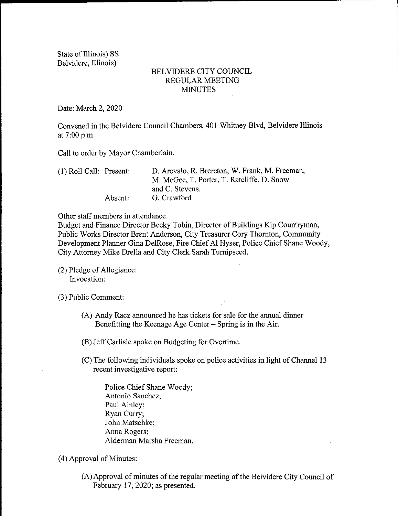State of Illinois) SS Belvidere, Illinois)

## BELVIDERE CITY COUNCIL REGULAR MEETING MINUTES

Date: March 2, 2020

Convened in the Belvidere Council Chambers, 401 Whitney Blvd, Belvidere Illinois at 7:00 p.m.

Call to order by Mayor Chamberlain.

1) Roll Call: Present: D. Arevalo, R. Brereton, W. Frank, M. Freeman, M. McGee, T. Porter, T. Ratcliffe, D. Snow and C. Stevens. Absent: G. Crawford

Other staff members in attendance:

Budget and Finance Director Becky Tobin, Director of Buildings Kip Countryman, Public Works Director Brent Anderson, City Treasurer Cory Thornton, Community Development Planner Gina DelRose, Fire Chief Al Hyser, Police Chief Shane Woody, City Attorney Mike Drella and City Clerk Sarah Turnipseed.

2) Pledge of Allegiance: Invocation:

3) Public Comment:

- A) Andy Racz announced he has tickets for sale for the annual dinner Benefitting the Keenage Age Center – Spring is in the Air.
- B) Jeff Carlisle spoke on Budgeting for Overtime.
- C) The following individuals spoke on police activities in light of Channel <sup>13</sup> recent investigative report:
	- Police Chief Shane Woody; Antonio Sanchez; Paul Ainley; Ryan Curry; John Matschke; Anna Rogers; Alderman Marsha Freeman.
- 4) Approval of Minutes:
	- A) Approval of minutes of the regular meeting of the Belvidere City Council of February 17, 2020; as presented.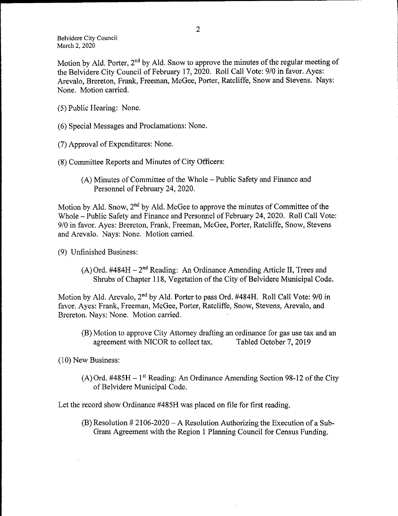Motion by Ald. Porter, 2<sup>nd</sup> by Ald. Snow to approve the minutes of the regular meeting of the Belvidere City Council of February 17, 2020. Roll Call Vote: 9/0 in favor. Ayes: Arevalo, Brereton, Frank, Freeman, McGee, Porter, Ratcliffe, Snow and Stevens. Nays: None. Motion carried.

- 5) Public Hearing: None.
- 6) Special Messages and Proclamations: None.
- 7) Approval of Expenditures: None.
- 8) Committee Reports and Minutes of City Officers:
	- A) Minutes of Committee of the Whole— Public Safety and Finance and Personnel of February 24, 2020.

Motion by Ald. Snow,  $2<sup>nd</sup>$  by Ald. McGee to approve the minutes of Committee of the Whole - Public Safety and Finance and Personnel of February 24, 2020. Roll Call Vote: 9/0 in favor. Ayes: Brereton, Frank, Freeman, McGee, Porter, Ratcliffe, Snow, Stevens and Arevalo. Nays: None. Motion carried.

- 9) Unfinished Business:
	- $(A)$  Ord. #484H 2<sup>nd</sup> Reading: An Ordinance Amending Article II, Trees and Shrubs of Chapter 118, Vegetation of the City of Belvidere Municipal Code.

Motion by Ald. Arevalo, 2<sup>nd</sup> by Ald. Porter to pass Ord. #484H. Roll Call Vote: 9/0 in favor. Ayes: Frank, Freeman, McGee, Porter, Ratcliffe, Snow, Stevens, Arevalo, and Brereton. Nays: None. Motion carried.

(B) Motion to approve City Attorney drafting an ordinance for gas use tax and an agreement with NICOR to collect tax. Tabled October 7, 2019 agreement with NICOR to collect tax.

10) New Business:

 $(A)$  Ord. #485H – 1<sup>st</sup> Reading: An Ordinance Amending Section 98-12 of the City of Belvidere Municipal Code.

Let the record show Ordinance #485H was placed on file for first reading.

 $(B)$  Resolution # 2106-2020 – A Resolution Authorizing the Execution of a Sub-Grant Agreement with the Region <sup>1</sup> Planning Council for Census Funding.